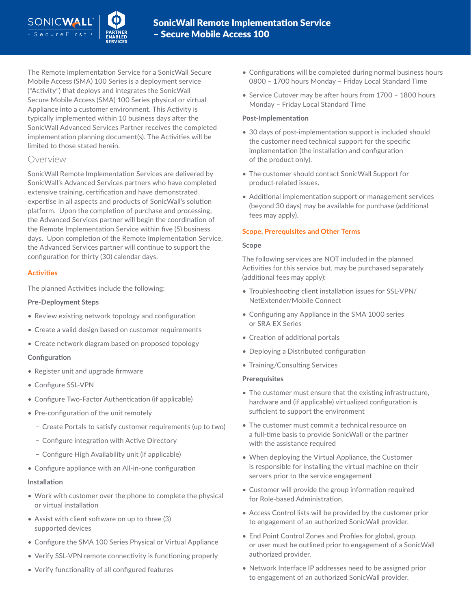The Remote Implementation Service for a SonicWall Secure Mobile Access (SMA) 100 Series is a deployment service ("Activity") that deploys and integrates the SonicWall Secure Mobile Access (SMA) 100 Series physical or virtual Appliance into a customer environment. This Activity is typically implemented within 10 business days after the SonicWall Advanced Services Partner receives the completed implementation planning document(s). The Activities will be limited to those stated herein.

# Overview

SonicWall Remote Implementation Services are delivered by SonicWall's Advanced Services partners who have completed extensive training, certification and have demonstrated expertise in all aspects and products of SonicWall's solution platform. Upon the completion of purchase and processing, the Advanced Services partner will begin the coordination of the Remote Implementation Service within five (5) business days. Upon completion of the Remote Implementation Service, the Advanced Services partner will continue to support the configuration for thirty (30) calendar days.

# **Activities**

The planned Activities include the following:

## **Pre-Deployment Steps**

- Review existing network topology and configuration
- Create a valid design based on customer requirements
- Create network diagram based on proposed topology

## **Configuration**

- Register unit and upgrade firmware
- Configure SSL-VPN
- Configure Two-Factor Authentication (if applicable)
- Pre-configuration of the unit remotely
	- − Create Portals to satisfy customer requirements (up to two)
	- − Configure integration with Active Directory
	- − Configure High Availability unit (if applicable)
- Configure appliance with an All-in-one configuration

## **Installation**

- Work with customer over the phone to complete the physical or virtual installation
- Assist with client software on up to three (3) supported devices
- Configure the SMA 100 Series Physical or Virtual Appliance
- Verify SSL-VPN remote connectivity is functioning properly
- Verify functionality of all configured features
- Configurations will be completed during normal business hours 0800 – 1700 hours Monday – Friday Local Standard Time
- Service Cutover may be after hours from 1700 1800 hours Monday – Friday Local Standard Time

## **Post-Implementation**

- 30 days of post-implementation support is included should the customer need technical support for the specific implementation (the installation and configuration of the product only).
- The customer should contact SonicWall Support for product-related issues.
- Additional implementation support or management services (beyond 30 days) may be available for purchase (additional fees may apply).

## **Scope, Prerequisites and Other Terms**

## **Scope**

The following services are NOT included in the planned Activities for this service but, may be purchased separately (additional fees may apply):

- Troubleshooting client installation issues for SSL-VPN/ NetExtender/Mobile Connect
- Configuring any Appliance in the SMA 1000 series or SRA EX Series
- Creation of additional portals
- Deploying a Distributed configuration
- Training/Consulting Services

## **Prerequisites**

- The customer must ensure that the existing infrastructure, hardware and (if applicable) virtualized configuration is sufficient to support the environment
- The customer must commit a technical resource on a full-time basis to provide SonicWall or the partner with the assistance required
- When deploying the Virtual Appliance, the Customer is responsible for installing the virtual machine on their servers prior to the service engagement
- Customer will provide the group information required for Role-based Administration.
- Access Control lists will be provided by the customer prior to engagement of an authorized SonicWall provider.
- End Point Control Zones and Profiles for global, group, or user must be outlined prior to engagement of a SonicWall authorized provider.
- Network Interface IP addresses need to be assigned prior to engagement of an authorized SonicWall provider.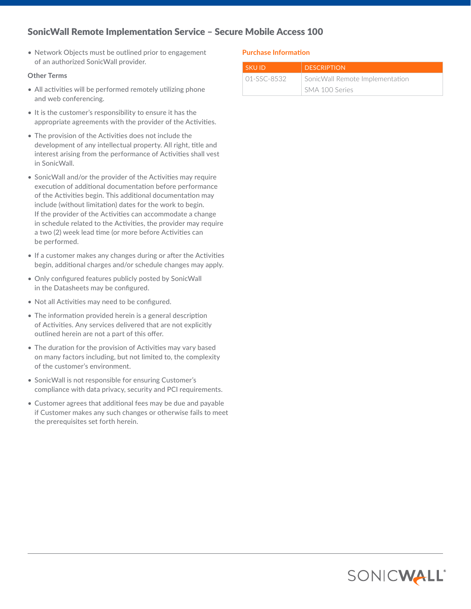# SonicWall Remote Implementation Service – Secure Mobile Access 100

• Network Objects must be outlined prior to engagement of an authorized SonicWall provider.

#### **Other Terms**

- All activities will be performed remotely utilizing phone and web conferencing.
- It is the customer's responsibility to ensure it has the appropriate agreements with the provider of the Activities.
- The provision of the Activities does not include the development of any intellectual property. All right, title and interest arising from the performance of Activities shall vest in SonicWall.
- SonicWall and/or the provider of the Activities may require execution of additional documentation before performance of the Activities begin. This additional documentation may include (without limitation) dates for the work to begin. If the provider of the Activities can accommodate a change in schedule related to the Activities, the provider may require a two (2) week lead time (or more before Activities can be performed.
- If a customer makes any changes during or after the Activities begin, additional charges and/or schedule changes may apply.
- Only configured features publicly posted by SonicWall in the Datasheets may be configured.
- Not all Activities may need to be configured.
- The information provided herein is a general description of Activities. Any services delivered that are not explicitly outlined herein are not a part of this offer.
- The duration for the provision of Activities may vary based on many factors including, but not limited to, the complexity of the customer's environment.
- SonicWall is not responsible for ensuring Customer's compliance with data privacy, security and PCI requirements.
- Customer agrees that additional fees may be due and payable if Customer makes any such changes or otherwise fails to meet the prerequisites set forth herein.

## **Purchase Information**

| <b>SKUID</b>  | <b>DESCRIPTION</b>              |
|---------------|---------------------------------|
| $01-SSC-8532$ | SonicWall Remote Implementation |
|               | SMA 100 Series                  |